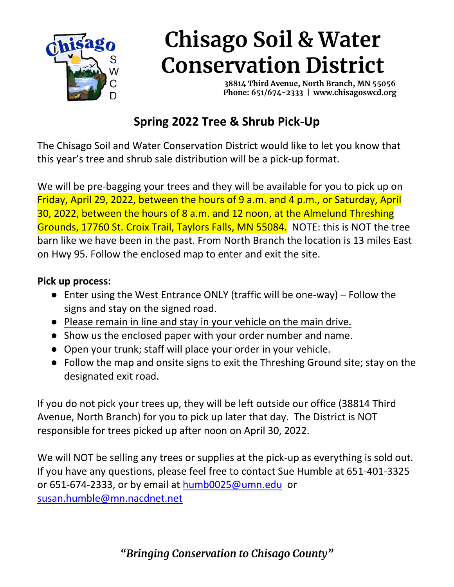

## **Chisago Soil & Water Conservation District**

 **38814 Third Avenue, North Branch, MN 55056 Phone: 651/674-2333 | www.chisagoswcd.org**

## **Spring 2022 Tree & Shrub Pick-Up**

The Chisago Soil and Water Conservation District would like to let you know that this year's tree and shrub sale distribution will be a pick-up format.

We will be pre-bagging your trees and they will be available for you to pick up on Friday, April 29, 2022, between the hours of 9 a.m. and 4 p.m., or Saturday, April 30, 2022, between the hours of 8 a.m. and 12 noon, at the Almelund Threshing Grounds, 17760 St. Croix Trail, Taylors Falls, MN 55084. NOTE: this is NOT the tree barn like we have been in the past. From North Branch the location is 13 miles East on Hwy 95. Follow the enclosed map to enter and exit the site.

## **Pick up process:**

- Enter using the West Entrance ONLY (traffic will be one-way) Follow the signs and stay on the signed road.
- Please remain in line and stay in your vehicle on the main drive.
- Show us the enclosed paper with your order number and name.
- Open your trunk; staff will place your order in your vehicle.
- Follow the map and onsite signs to exit the Threshing Ground site; stay on the designated exit road.

If you do not pick your trees up, they will be left outside our office (38814 Third Avenue, North Branch) for you to pick up later that day. The District is NOT responsible for trees picked up after noon on April 30, 2022.

We will NOT be selling any trees or supplies at the pick-up as everything is sold out. If you have any questions, please feel free to contact Sue Humble at 651-401-3325 or 651-674-2333, or by email at [humb0025@umn.edu](mailto:humb0025@umn.edu) or [susan.humble@mn.nacdnet.net](mailto:susan.humble@mn.nacdnet.net)